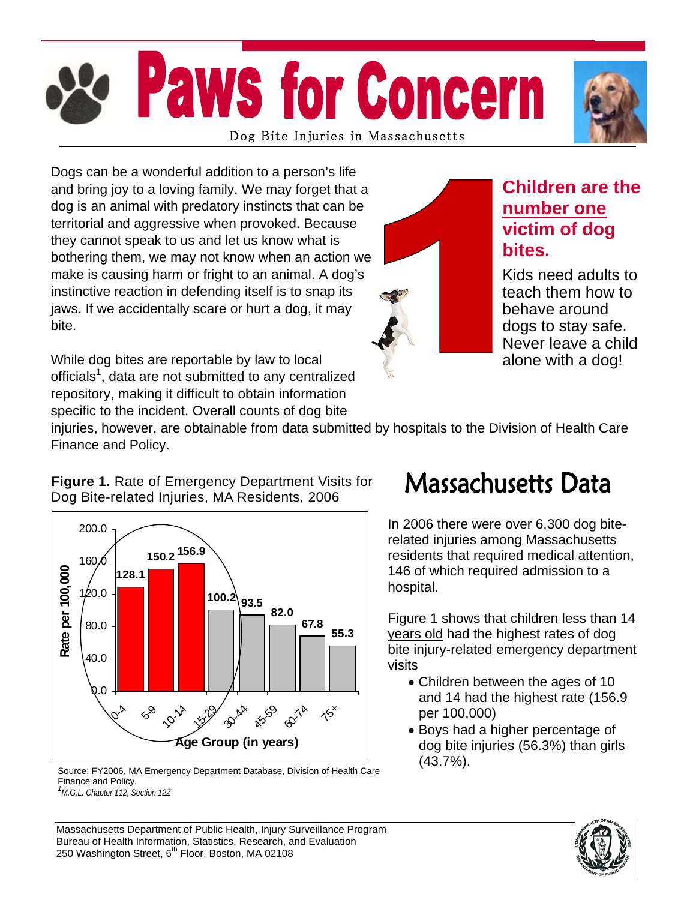# **Paws for Concern** Dog Bite Injuries in Massachusetts

Dogs can be a wonderful addition to a person's life and bring joy to a loving family. We may forget that a dog is an animal with predatory instincts that can be territorial and aggressive when provoked. Because they cannot speak to us and let us know what is bothering them, we may not know when an action we make is causing harm or fright to an animal. A dog's instinctive reaction in defending itself is to snap its jaws. If we accidentally scare or hurt a dog, it may bite.

While dog bites are reportable by law to local officials<sup>1</sup>, data are not submitted to any centralized repository, making it difficult to obtain information specific to the incident. Overall counts of dog bite



### **Children are the number one victim of dog bites.**

Kids need adults to teach them how to behave around dogs to stay safe. Never leave a child alone with a dog!

injuries, however, are obtainable from data submitted by hospitals to the Division of Health Care Finance and Policy.

#### **Figure 1.** Rate of Emergency Department Visits for Dog Bite-related Injuries, MA Residents, 2006



Source: FY2006, MA Emergency Department Database, Division of Health Care  $(43.7\%)$ . Finance and Policy. *1 M.G.L. Chapter 112, Section 12Z* 

### **Massachusetts Data**

In 2006 there were over 6,300 dog biterelated injuries among Massachusetts residents that required medical attention, 146 of which required admission to a hospital.

Figure 1 shows that children less than 14 years old had the highest rates of dog bite injury-related emergency department visits

- Children between the ages of 10 and 14 had the highest rate (156.9 per 100,000)
- Boys had a higher percentage of dog bite injuries (56.3%) than girls



Massachusetts Department of Public Health, Injury Surveillance Program Bureau of Health Information, Statistics, Research, and Evaluation 250 Washington Street, 6<sup>th</sup> Floor, Boston, MA 02108